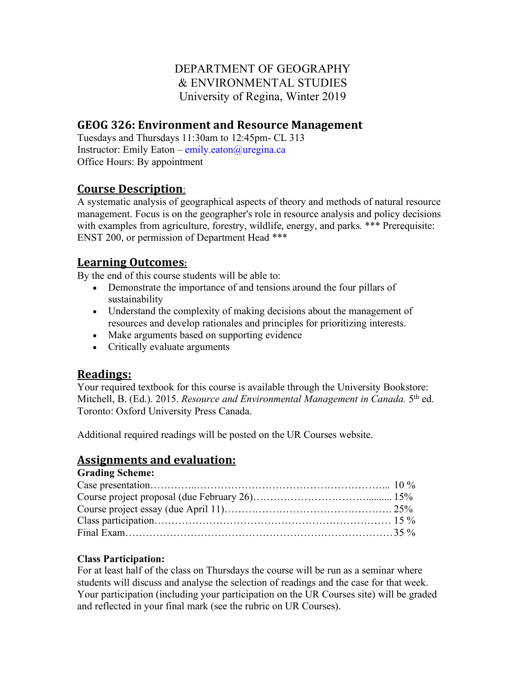## DEPARTMENT OF GEOGRAPHY & ENVIRONMENTAL STUDIES University of Regina, Winter 2019

#### **GEOG 326: Environment and Resource Management**

Tuesdays and Thursdays 11:30am to 12:45pm- CL 313 Instructor: Emily Eaton – emily.eaton@uregina.ca Office Hours: By appointment

#### **Course Description**:

A systematic analysis of geographical aspects of theory and methods of natural resource management. Focus is on the geographer's role in resource analysis and policy decisions with examples from agriculture, forestry, wildlife, energy, and parks. \*\*\* Prerequisite: ENST 200, or permission of Department Head \*\*\*

#### **Learning Outcomes:**

By the end of this course students will be able to:

- Demonstrate the importance of and tensions around the four pillars of sustainability
- Understand the complexity of making decisions about the management of resources and develop rationales and principles for prioritizing interests.
- Make arguments based on supporting evidence
- Critically evaluate arguments

## **Readings:**

Your required textbook for this course is available through the University Bookstore: Mitchell, B. (Ed.). 2015. *Resource and Environmental Management in Canada.* 5th ed. Toronto: Oxford University Press Canada.

Additional required readings will be posted on the UR Courses website.

## **Assignments and evaluation:**

#### **Grading Scheme:**  $\Gamma$  ase presentation  $\blacksquare$

#### **Class Participation:**

For at least half of the class on Thursdays the course will be run as a seminar where students will discuss and analyse the selection of readings and the case for that week. Your participation (including your participation on the UR Courses site) will be graded and reflected in your final mark (see the rubric on UR Courses).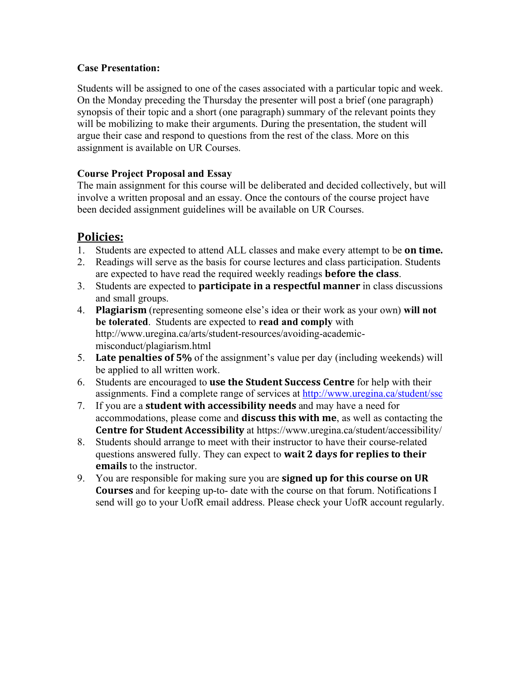#### **Case Presentation:**

Students will be assigned to one of the cases associated with a particular topic and week. On the Monday preceding the Thursday the presenter will post a brief (one paragraph) synopsis of their topic and a short (one paragraph) summary of the relevant points they will be mobilizing to make their arguments. During the presentation, the student will argue their case and respond to questions from the rest of the class. More on this assignment is available on UR Courses.

#### **Course Project Proposal and Essay**

The main assignment for this course will be deliberated and decided collectively, but will involve a written proposal and an essay. Once the contours of the course project have been decided assignment guidelines will be available on UR Courses.

# **Policies:**

- 1. Students are expected to attend ALL classes and make every attempt to be on time.
- 2. Readings will serve as the basis for course lectures and class participation. Students are expected to have read the required weekly readings **before the class**.
- 3. Students are expected to **participate in a respectful manner** in class discussions and small groups.
- 4. **Plagiarism** (representing someone else's idea or their work as your own) will not **be tolerated**. Students are expected to **read and comply** with http://www.uregina.ca/arts/student-resources/avoiding-academicmisconduct/plagiarism.html
- 5. **Late penalties of 5%** of the assignment's value per day (including weekends) will be applied to all written work.
- 6. Students are encouraged to **use the Student Success Centre** for help with their assignments. Find a complete range of services at http://www.uregina.ca/student/ssc
- 7. If you are a **student with accessibility needs** and may have a need for accommodations, please come and **discuss this with me**, as well as contacting the **Centre for Student Accessibility** at https://www.uregina.ca/student/accessibility/
- 8. Students should arrange to meet with their instructor to have their course-related questions answered fully. They can expect to **wait 2 days for replies to their emails** to the instructor.
- 9. You are responsible for making sure you are **signed up for this course on UR Courses** and for keeping up-to- date with the course on that forum. Notifications I send will go to your UofR email address. Please check your UofR account regularly.